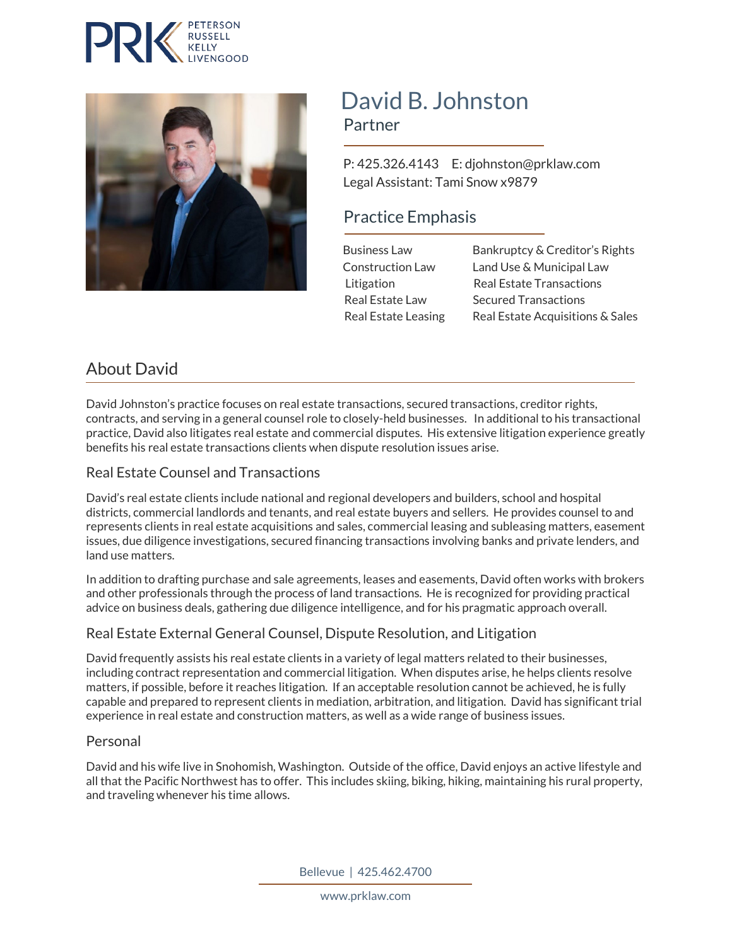



# David B. Johnston<br>Partner

 P: 425.326.4143 E: djohnston@prklaw.com Legal Assistant: Tami Snow x9879

# Practice Emphasis

 Business Law Bankruptcy & Creditor's Rights Construction Law Land Use & Municipal Law Litigation Real Estate Transactions Real Estate Law Secured Transactions Real Estate Leasing Real Estate Acquisitions & Sales

# About David

David Johnston's practice focuses on real estate transactions, secured transactions, creditor rights, contracts, and serving in a general counsel role to closely-held businesses. In additional to his transactional practice, David also litigates real estate and commercial disputes. His extensive litigation experience greatly benefits his real estate transactions clients when dispute resolution issues arise.

## Real Estate Counsel and Transactions

David's real estate clients include national and regional developers and builders, school and hospital districts, commercial landlords and tenants, and real estate buyers and sellers. He provides counsel to and represents clients in real estate acquisitions and sales, commercial leasing and subleasing matters, easement issues, due diligence investigations, secured financing transactions involving banks and private lenders, and land use matters.

In addition to drafting purchase and sale agreements, leases and easements, David often works with brokers and other professionals through the process of land transactions. He is recognized for providing practical advice on business deals, gathering due diligence intelligence, and for his pragmatic approach overall.

## Real Estate External General Counsel, Dispute Resolution, and Litigation

David frequently assists his real estate clients in a variety of legal matters related to their businesses, including contract representation and commercial litigation. When disputes arise, he helps clients resolve matters, if possible, before it reaches litigation. If an acceptable resolution cannot be achieved, he is fully capable and prepared to represent clients in mediation, arbitration, and litigation. David has significant trial experience in real estate and construction matters, as well as a wide range of business issues.

#### Personal

David and his wife live in Snohomish, Washington. Outside of the office, David enjoys an active lifestyle and all that the Pacific Northwest has to offer. This includes skiing, biking, hiking, maintaining his rural property, and traveling whenever his time allows.

Bellevue | 425.462.4700

www.prklaw.com